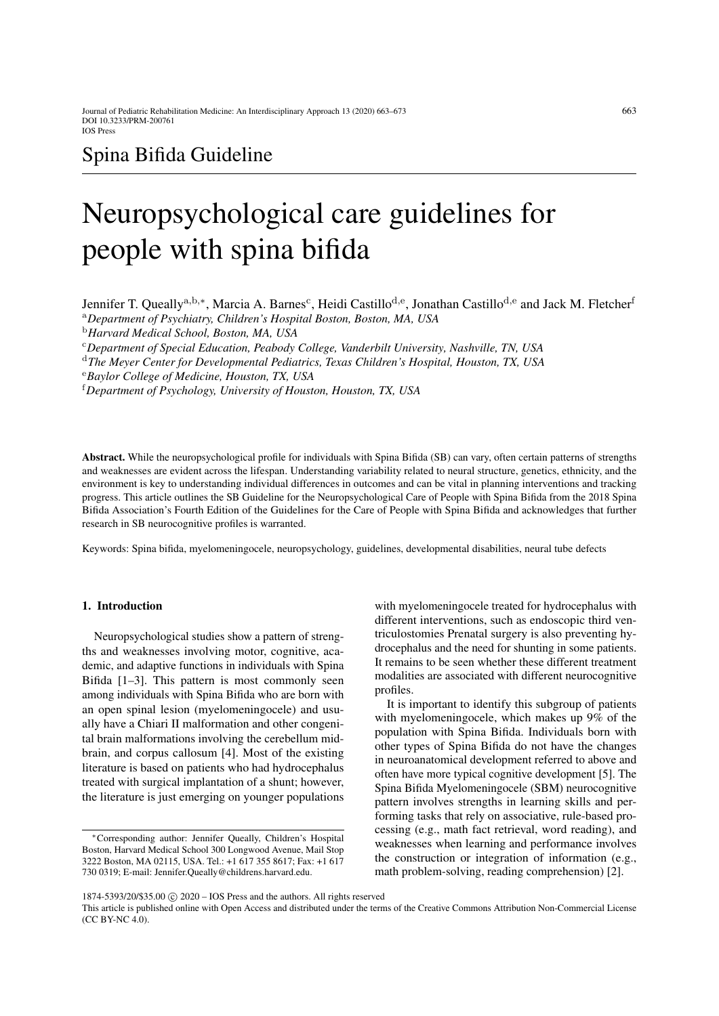# Spina Bifida Guideline

# Neuropsychological care guidelines for people with spina bifida

Jennifer T. Queally<sup>a,b,∗</sup>, Marcia A. Barnes<sup>c</sup>, Heidi Castillo<sup>d,e</sup>, Jonathan Castillo<sup>d,e</sup> and Jack M. Fletcher<sup>1</sup> <sup>a</sup>*Department of Psychiatry, Children's Hospital Boston, Boston, MA, USA* <sup>b</sup>*Harvard Medical School, Boston, MA, USA* <sup>c</sup>*Department of Special Education, Peabody College, Vanderbilt University, Nashville, TN, USA* <sup>d</sup>*The Meyer Center for Developmental Pediatrics, Texas Children's Hospital, Houston, TX, USA* <sup>e</sup>*Baylor College of Medicine, Houston, TX, USA* <sup>f</sup>*Department of Psychology, University of Houston, Houston, TX, USA*

Abstract. While the neuropsychological profile for individuals with Spina Bifida (SB) can vary, often certain patterns of strengths and weaknesses are evident across the lifespan. Understanding variability related to neural structure, genetics, ethnicity, and the environment is key to understanding individual differences in outcomes and can be vital in planning interventions and tracking progress. This article outlines the SB Guideline for the Neuropsychological Care of People with Spina Bifida from the 2018 Spina Bifida Association's Fourth Edition of the Guidelines for the Care of People with Spina Bifida and acknowledges that further research in SB neurocognitive profiles is warranted.

Keywords: Spina bifida, myelomeningocele, neuropsychology, guidelines, developmental disabilities, neural tube defects

#### 1. Introduction

Neuropsychological studies show a pattern of strengths and weaknesses involving motor, cognitive, academic, and adaptive functions in individuals with Spina Bifida [\[1](#page-9-0)[–3\]](#page-9-1). This pattern is most commonly seen among individuals with Spina Bifida who are born with an open spinal lesion (myelomeningocele) and usually have a Chiari II malformation and other congenital brain malformations involving the cerebellum midbrain, and corpus callosum [\[4\]](#page-9-2). Most of the existing literature is based on patients who had hydrocephalus treated with surgical implantation of a shunt; however, the literature is just emerging on younger populations with myelomeningocele treated for hydrocephalus with different interventions, such as endoscopic third ventriculostomies Prenatal surgery is also preventing hydrocephalus and the need for shunting in some patients. It remains to be seen whether these different treatment modalities are associated with different neurocognitive profiles.

It is important to identify this subgroup of patients with myelomeningocele, which makes up 9% of the population with Spina Bifida. Individuals born with other types of Spina Bifida do not have the changes in neuroanatomical development referred to above and often have more typical cognitive development [\[5\]](#page-9-3). The Spina Bifida Myelomeningocele (SBM) neurocognitive pattern involves strengths in learning skills and performing tasks that rely on associative, rule-based processing (e.g., math fact retrieval, word reading), and weaknesses when learning and performance involves the construction or integration of information (e.g., math problem-solving, reading comprehension) [\[2\]](#page-9-4).

<sup>∗</sup>Corresponding author: Jennifer Queally, Children's Hospital Boston, Harvard Medical School 300 Longwood Avenue, Mail Stop 3222 Boston, MA 02115, USA. Tel.: +1 617 355 8617; Fax: +1 617 730 0319; E-mail: Jennifer.Queally@childrens.harvard.edu.

<sup>1874-5393/20/\$35.00 © 2020 -</sup> IOS Press and the authors. All rights reserved

This article is published online with Open Access and distributed under the terms of the Creative Commons Attribution Non-Commercial License (CC BY-NC 4.0).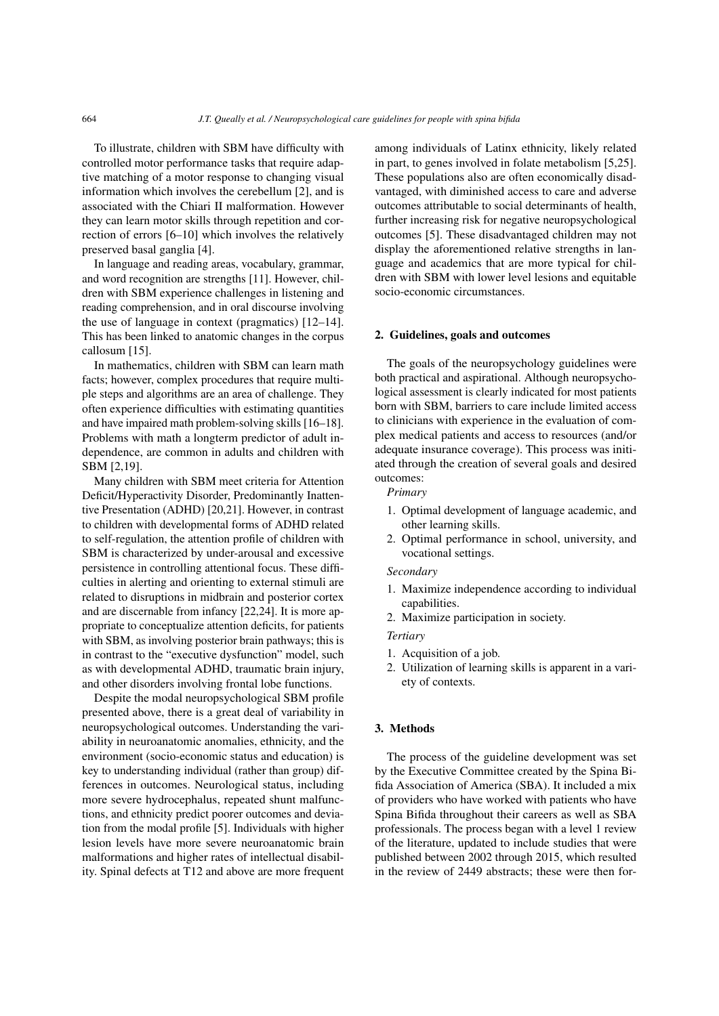To illustrate, children with SBM have difficulty with controlled motor performance tasks that require adaptive matching of a motor response to changing visual information which involves the cerebellum [\[2\]](#page-9-4), and is associated with the Chiari II malformation. However they can learn motor skills through repetition and correction of errors [\[6–](#page-9-5)[10\]](#page-9-6) which involves the relatively preserved basal ganglia [\[4\]](#page-9-2).

In language and reading areas, vocabulary, grammar, and word recognition are strengths [\[11\]](#page-9-7). However, children with SBM experience challenges in listening and reading comprehension, and in oral discourse involving the use of language in context (pragmatics) [\[12–](#page-9-8)[14\]](#page-9-9). This has been linked to anatomic changes in the corpus callosum [\[15\]](#page-9-10).

In mathematics, children with SBM can learn math facts; however, complex procedures that require multiple steps and algorithms are an area of challenge. They often experience difficulties with estimating quantities and have impaired math problem-solving skills [\[16](#page-9-11)[–18\]](#page-9-12). Problems with math a longterm predictor of adult independence, are common in adults and children with SBM [\[2](#page-9-4)[,19\]](#page-9-13).

Many children with SBM meet criteria for Attention Deficit/Hyperactivity Disorder, Predominantly Inattentive Presentation (ADHD) [\[20](#page-10-0)[,21\]](#page-10-1). However, in contrast to children with developmental forms of ADHD related to self-regulation, the attention profile of children with SBM is characterized by under-arousal and excessive persistence in controlling attentional focus. These difficulties in alerting and orienting to external stimuli are related to disruptions in midbrain and posterior cortex and are discernable from infancy [\[22](#page-10-2)[,24\]](#page-10-3). It is more appropriate to conceptualize attention deficits, for patients with SBM, as involving posterior brain pathways; this is in contrast to the "executive dysfunction" model, such as with developmental ADHD, traumatic brain injury, and other disorders involving frontal lobe functions.

Despite the modal neuropsychological SBM profile presented above, there is a great deal of variability in neuropsychological outcomes. Understanding the variability in neuroanatomic anomalies, ethnicity, and the environment (socio-economic status and education) is key to understanding individual (rather than group) differences in outcomes. Neurological status, including more severe hydrocephalus, repeated shunt malfunctions, and ethnicity predict poorer outcomes and deviation from the modal profile [\[5\]](#page-9-3). Individuals with higher lesion levels have more severe neuroanatomic brain malformations and higher rates of intellectual disability. Spinal defects at T12 and above are more frequent among individuals of Latinx ethnicity, likely related in part, to genes involved in folate metabolism [\[5,](#page-9-3)[25\]](#page-10-4). These populations also are often economically disadvantaged, with diminished access to care and adverse outcomes attributable to social determinants of health, further increasing risk for negative neuropsychological outcomes [\[5\]](#page-9-3). These disadvantaged children may not display the aforementioned relative strengths in language and academics that are more typical for children with SBM with lower level lesions and equitable socio-economic circumstances.

#### 2. Guidelines, goals and outcomes

The goals of the neuropsychology guidelines were both practical and aspirational. Although neuropsychological assessment is clearly indicated for most patients born with SBM, barriers to care include limited access to clinicians with experience in the evaluation of complex medical patients and access to resources (and/or adequate insurance coverage). This process was initiated through the creation of several goals and desired outcomes:

*Primary*

- 1. Optimal development of language academic, and other learning skills.
- 2. Optimal performance in school, university, and vocational settings.

*Secondary*

- 1. Maximize independence according to individual capabilities.
- 2. Maximize participation in society.

*Tertiary*

- 1. Acquisition of a job.
- 2. Utilization of learning skills is apparent in a variety of contexts.

#### 3. Methods

The process of the guideline development was set by the Executive Committee created by the Spina Bifida Association of America (SBA). It included a mix of providers who have worked with patients who have Spina Bifida throughout their careers as well as SBA professionals. The process began with a level 1 review of the literature, updated to include studies that were published between 2002 through 2015, which resulted in the review of 2449 abstracts; these were then for-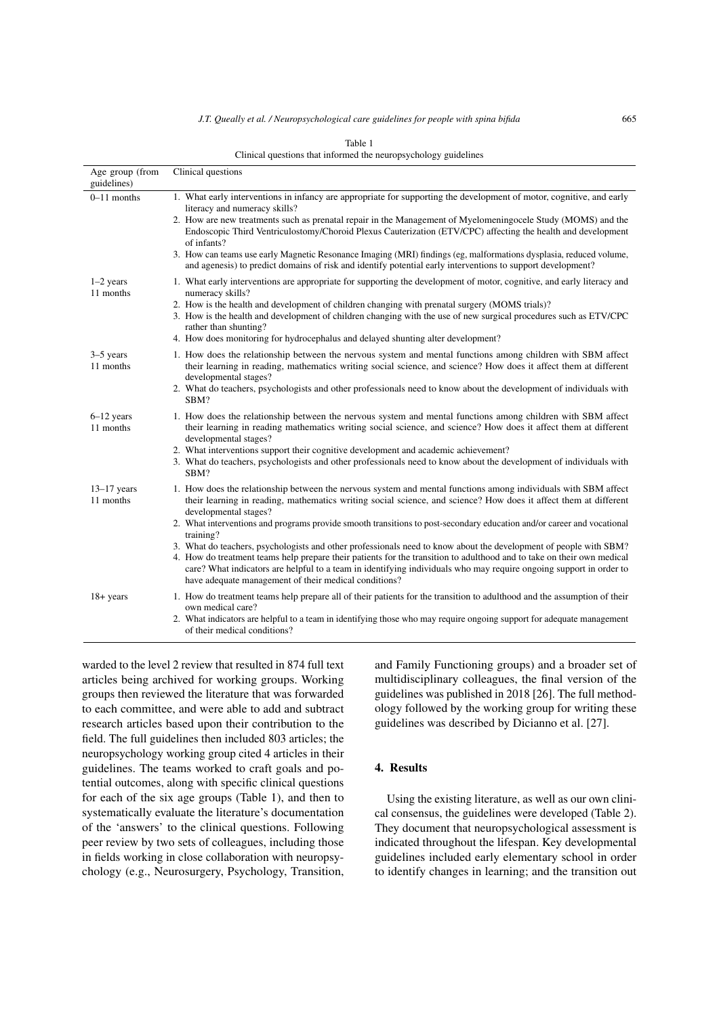| Age group (from<br>guidelines) | Clinical questions                                                                                                                                                                                                                                                                                                                                                                                                                                                                                                                                                                                                                                                                                                                                                                                                               |
|--------------------------------|----------------------------------------------------------------------------------------------------------------------------------------------------------------------------------------------------------------------------------------------------------------------------------------------------------------------------------------------------------------------------------------------------------------------------------------------------------------------------------------------------------------------------------------------------------------------------------------------------------------------------------------------------------------------------------------------------------------------------------------------------------------------------------------------------------------------------------|
| $0-11$ months                  | 1. What early interventions in infancy are appropriate for supporting the development of motor, cognitive, and early<br>literacy and numeracy skills?<br>2. How are new treatments such as prenatal repair in the Management of Myelomeningocele Study (MOMS) and the<br>Endoscopic Third Ventriculostomy/Choroid Plexus Cauterization (ETV/CPC) affecting the health and development                                                                                                                                                                                                                                                                                                                                                                                                                                            |
|                                | of infants?<br>3. How can teams use early Magnetic Resonance Imaging (MRI) findings (eg, malformations dysplasia, reduced volume,<br>and agenesis) to predict domains of risk and identify potential early interventions to support development?                                                                                                                                                                                                                                                                                                                                                                                                                                                                                                                                                                                 |
| $1-2$ years<br>11 months       | 1. What early interventions are appropriate for supporting the development of motor, cognitive, and early literacy and<br>numeracy skills?<br>2. How is the health and development of children changing with prenatal surgery (MOMS trials)?<br>3. How is the health and development of children changing with the use of new surgical procedures such as ETV/CPC<br>rather than shunting?<br>4. How does monitoring for hydrocephalus and delayed shunting alter development?                                                                                                                                                                                                                                                                                                                                                   |
| $3-5$ years<br>11 months       | 1. How does the relationship between the nervous system and mental functions among children with SBM affect<br>their learning in reading, mathematics writing social science, and science? How does it affect them at different<br>developmental stages?<br>2. What do teachers, psychologists and other professionals need to know about the development of individuals with<br>SBM?                                                                                                                                                                                                                                                                                                                                                                                                                                            |
| $6-12$ years<br>11 months      | 1. How does the relationship between the nervous system and mental functions among children with SBM affect<br>their learning in reading mathematics writing social science, and science? How does it affect them at different<br>developmental stages?<br>2. What interventions support their cognitive development and academic achievement?<br>3. What do teachers, psychologists and other professionals need to know about the development of individuals with<br>SBM?                                                                                                                                                                                                                                                                                                                                                      |
| $13-17$ years<br>11 months     | 1. How does the relationship between the nervous system and mental functions among individuals with SBM affect<br>their learning in reading, mathematics writing social science, and science? How does it affect them at different<br>developmental stages?<br>2. What interventions and programs provide smooth transitions to post-secondary education and/or career and vocational<br>training?<br>3. What do teachers, psychologists and other professionals need to know about the development of people with SBM?<br>4. How do treatment teams help prepare their patients for the transition to adulthood and to take on their own medical<br>care? What indicators are helpful to a team in identifying individuals who may require ongoing support in order to<br>have adequate management of their medical conditions? |
| $18 + years$                   | 1. How do treatment teams help prepare all of their patients for the transition to adulthood and the assumption of their<br>own medical care?<br>2. What indicators are helpful to a team in identifying those who may require ongoing support for adequate management<br>of their medical conditions?                                                                                                                                                                                                                                                                                                                                                                                                                                                                                                                           |

Table 1 Clinical questions that informed the neuropsychology guidelines

<span id="page-2-0"></span>warded to the level 2 review that resulted in 874 full text articles being archived for working groups. Working groups then reviewed the literature that was forwarded to each committee, and were able to add and subtract research articles based upon their contribution to the field. The full guidelines then included 803 articles; the neuropsychology working group cited 4 articles in their guidelines. The teams worked to craft goals and potential outcomes, along with specific clinical questions for each of the six age groups (Table [1\)](#page-2-0), and then to systematically evaluate the literature's documentation of the 'answers' to the clinical questions. Following peer review by two sets of colleagues, including those in fields working in close collaboration with neuropsychology (e.g., Neurosurgery, Psychology, Transition, and Family Functioning groups) and a broader set of multidisciplinary colleagues, the final version of the guidelines was published in 2018 [\[26\]](#page-10-5). The full methodology followed by the working group for writing these guidelines was described by Dicianno et al. [\[27\]](#page-10-6).

#### 4. Results

Using the existing literature, as well as our own clinical consensus, the guidelines were developed (Table [2\)](#page-3-0). They document that neuropsychological assessment is indicated throughout the lifespan. Key developmental guidelines included early elementary school in order to identify changes in learning; and the transition out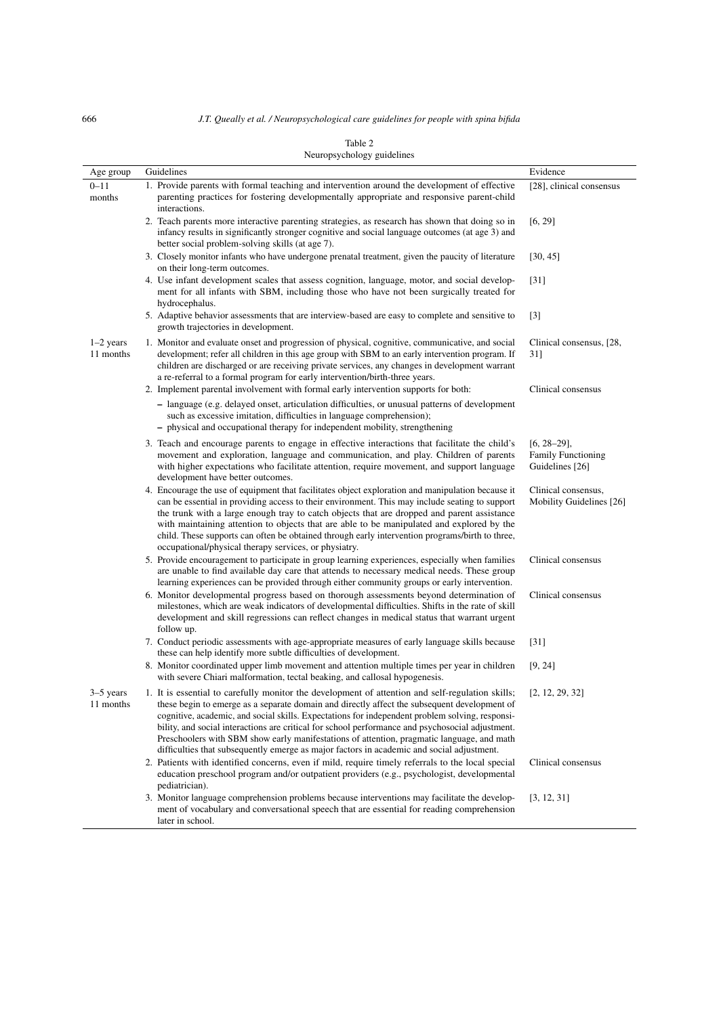<span id="page-3-0"></span>

|                          | iveuropsychology guidelines                                                                                                                                                                                                                                                                                                                                                                                                                                                                                                                                                                        |                                                              |  |  |
|--------------------------|----------------------------------------------------------------------------------------------------------------------------------------------------------------------------------------------------------------------------------------------------------------------------------------------------------------------------------------------------------------------------------------------------------------------------------------------------------------------------------------------------------------------------------------------------------------------------------------------------|--------------------------------------------------------------|--|--|
| Age group                | Guidelines                                                                                                                                                                                                                                                                                                                                                                                                                                                                                                                                                                                         | Evidence                                                     |  |  |
| $0 - 11$<br>months       | 1. Provide parents with formal teaching and intervention around the development of effective<br>parenting practices for fostering developmentally appropriate and responsive parent-child<br>interactions.                                                                                                                                                                                                                                                                                                                                                                                         | [28], clinical consensus                                     |  |  |
|                          | 2. Teach parents more interactive parenting strategies, as research has shown that doing so in<br>infancy results in significantly stronger cognitive and social language outcomes (at age 3) and<br>better social problem-solving skills (at age 7).                                                                                                                                                                                                                                                                                                                                              | [6, 29]                                                      |  |  |
|                          | 3. Closely monitor infants who have undergone prenatal treatment, given the paucity of literature<br>on their long-term outcomes.                                                                                                                                                                                                                                                                                                                                                                                                                                                                  | [30, 45]                                                     |  |  |
|                          | 4. Use infant development scales that assess cognition, language, motor, and social develop-<br>ment for all infants with SBM, including those who have not been surgically treated for<br>hydrocephalus.                                                                                                                                                                                                                                                                                                                                                                                          | [31]                                                         |  |  |
|                          | 5. Adaptive behavior assessments that are interview-based are easy to complete and sensitive to<br>growth trajectories in development.                                                                                                                                                                                                                                                                                                                                                                                                                                                             | $[3]$                                                        |  |  |
| $1-2$ years<br>11 months | 1. Monitor and evaluate onset and progression of physical, cognitive, communicative, and social<br>development; refer all children in this age group with SBM to an early intervention program. If<br>children are discharged or are receiving private services, any changes in development warrant<br>a re-referral to a formal program for early intervention/birth-three years.                                                                                                                                                                                                                 | Clinical consensus, [28,<br>31]                              |  |  |
|                          | 2. Implement parental involvement with formal early intervention supports for both:<br>- language (e.g. delayed onset, articulation difficulties, or unusual patterns of development<br>such as excessive imitation, difficulties in language comprehension);<br>- physical and occupational therapy for independent mobility, strengthening                                                                                                                                                                                                                                                       | Clinical consensus                                           |  |  |
|                          | 3. Teach and encourage parents to engage in effective interactions that facilitate the child's<br>movement and exploration, language and communication, and play. Children of parents<br>with higher expectations who facilitate attention, require movement, and support language<br>development have better outcomes.                                                                                                                                                                                                                                                                            | $[6, 28-29]$<br><b>Family Functioning</b><br>Guidelines [26] |  |  |
|                          | 4. Encourage the use of equipment that facilitates object exploration and manipulation because it<br>can be essential in providing access to their environment. This may include seating to support<br>the trunk with a large enough tray to catch objects that are dropped and parent assistance<br>with maintaining attention to objects that are able to be manipulated and explored by the<br>child. These supports can often be obtained through early intervention programs/birth to three,<br>occupational/physical therapy services, or physiatry.                                         | Clinical consensus,<br>Mobility Guidelines [26]              |  |  |
|                          | 5. Provide encouragement to participate in group learning experiences, especially when families<br>are unable to find available day care that attends to necessary medical needs. These group<br>learning experiences can be provided through either community groups or early intervention.                                                                                                                                                                                                                                                                                                       | Clinical consensus                                           |  |  |
|                          | 6. Monitor developmental progress based on thorough assessments beyond determination of<br>milestones, which are weak indicators of developmental difficulties. Shifts in the rate of skill<br>development and skill regressions can reflect changes in medical status that warrant urgent<br>follow up.                                                                                                                                                                                                                                                                                           | Clinical consensus                                           |  |  |
|                          | 7. Conduct periodic assessments with age-appropriate measures of early language skills because<br>these can help identify more subtle difficulties of development.                                                                                                                                                                                                                                                                                                                                                                                                                                 | $[31]$                                                       |  |  |
|                          | 8. Monitor coordinated upper limb movement and attention multiple times per year in children<br>with severe Chiari malformation, tectal beaking, and callosal hypogenesis.                                                                                                                                                                                                                                                                                                                                                                                                                         | [9, 24]                                                      |  |  |
| $3-5$ years<br>11 months | 1. It is essential to carefully monitor the development of attention and self-regulation skills;<br>these begin to emerge as a separate domain and directly affect the subsequent development of<br>cognitive, academic, and social skills. Expectations for independent problem solving, responsi-<br>bility, and social interactions are critical for school performance and psychosocial adjustment.<br>Preschoolers with SBM show early manifestations of attention, pragmatic language, and math<br>difficulties that subsequently emerge as major factors in academic and social adjustment. | [2, 12, 29, 32]                                              |  |  |
|                          | 2. Patients with identified concerns, even if mild, require timely referrals to the local special<br>education preschool program and/or outpatient providers (e.g., psychologist, developmental<br>pediatrician).                                                                                                                                                                                                                                                                                                                                                                                  | Clinical consensus                                           |  |  |
|                          | 3. Monitor language comprehension problems because interventions may facilitate the develop-<br>ment of vocabulary and conversational speech that are essential for reading comprehension<br>later in school.                                                                                                                                                                                                                                                                                                                                                                                      | [3, 12, 31]                                                  |  |  |

#### Table 2 Neuropsychology guidelines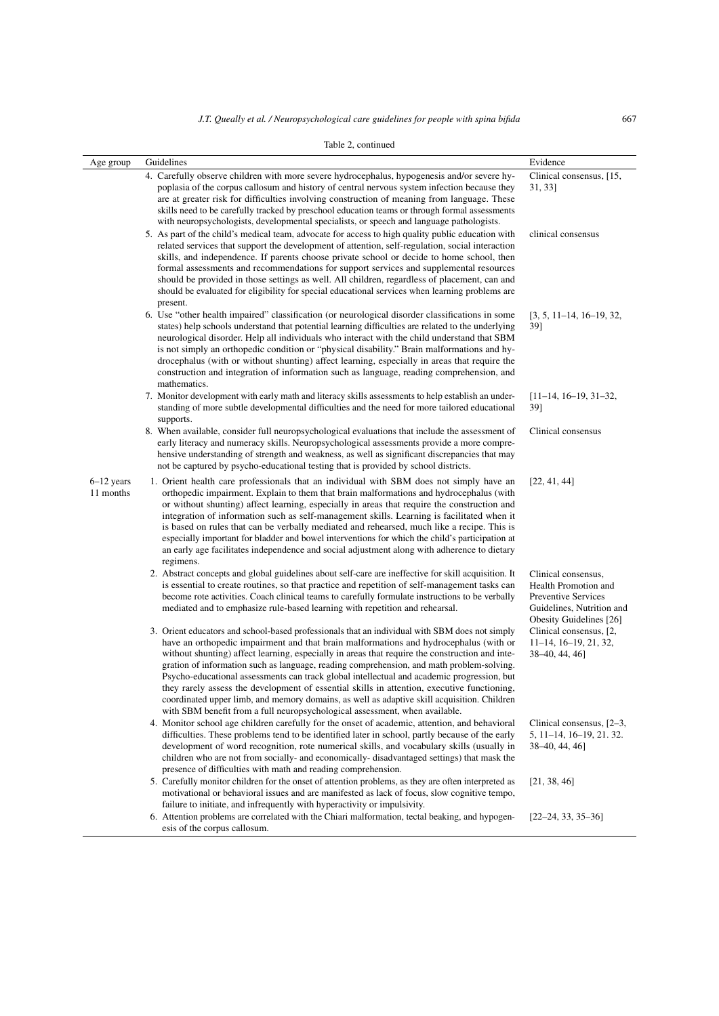|  | Table 2, continued |
|--|--------------------|
|--|--------------------|

| Age group                 | Guidelines                                                                                                                                                                                                                                                                                                                                                                                                                                                                                                                                                                                                                                                                                                                                                        | Evidence                                                                                                                          |
|---------------------------|-------------------------------------------------------------------------------------------------------------------------------------------------------------------------------------------------------------------------------------------------------------------------------------------------------------------------------------------------------------------------------------------------------------------------------------------------------------------------------------------------------------------------------------------------------------------------------------------------------------------------------------------------------------------------------------------------------------------------------------------------------------------|-----------------------------------------------------------------------------------------------------------------------------------|
|                           | 4. Carefully observe children with more severe hydrocephalus, hypogenesis and/or severe hy-<br>poplasia of the corpus callosum and history of central nervous system infection because they<br>are at greater risk for difficulties involving construction of meaning from language. These<br>skills need to be carefully tracked by preschool education teams or through formal assessments<br>with neuropsychologists, developmental specialists, or speech and language pathologists.                                                                                                                                                                                                                                                                          | Clinical consensus, [15,<br>31, 33]                                                                                               |
|                           | 5. As part of the child's medical team, advocate for access to high quality public education with<br>related services that support the development of attention, self-regulation, social interaction<br>skills, and independence. If parents choose private school or decide to home school, then<br>formal assessments and recommendations for support services and supplemental resources<br>should be provided in those settings as well. All children, regardless of placement, can and<br>should be evaluated for eligibility for special educational services when learning problems are<br>present.                                                                                                                                                        | clinical consensus                                                                                                                |
|                           | 6. Use "other health impaired" classification (or neurological disorder classifications in some<br>states) help schools understand that potential learning difficulties are related to the underlying<br>neurological disorder. Help all individuals who interact with the child understand that SBM<br>is not simply an orthopedic condition or "physical disability." Brain malformations and hy-<br>drocephalus (with or without shunting) affect learning, especially in areas that require the<br>construction and integration of information such as language, reading comprehension, and<br>mathematics.                                                                                                                                                   | $[3, 5, 11-14, 16-19, 32,$<br>39]                                                                                                 |
|                           | 7. Monitor development with early math and literacy skills assessments to help establish an under-<br>standing of more subtle developmental difficulties and the need for more tailored educational<br>supports.                                                                                                                                                                                                                                                                                                                                                                                                                                                                                                                                                  | $[11-14, 16-19, 31-32,$<br>39]                                                                                                    |
|                           | 8. When available, consider full neuropsychological evaluations that include the assessment of<br>early literacy and numeracy skills. Neuropsychological assessments provide a more compre-<br>hensive understanding of strength and weakness, as well as significant discrepancies that may<br>not be captured by psycho-educational testing that is provided by school districts.                                                                                                                                                                                                                                                                                                                                                                               | Clinical consensus                                                                                                                |
| $6-12$ years<br>11 months | 1. Orient health care professionals that an individual with SBM does not simply have an<br>orthopedic impairment. Explain to them that brain malformations and hydrocephalus (with<br>or without shunting) affect learning, especially in areas that require the construction and<br>integration of information such as self-management skills. Learning is facilitated when it<br>is based on rules that can be verbally mediated and rehearsed, much like a recipe. This is<br>especially important for bladder and bowel interventions for which the child's participation at<br>an early age facilitates independence and social adjustment along with adherence to dietary<br>regimens.                                                                      | [22, 41, 44]                                                                                                                      |
|                           | 2. Abstract concepts and global guidelines about self-care are ineffective for skill acquisition. It<br>is essential to create routines, so that practice and repetition of self-management tasks can<br>become rote activities. Coach clinical teams to carefully formulate instructions to be verbally<br>mediated and to emphasize rule-based learning with repetition and rehearsal.                                                                                                                                                                                                                                                                                                                                                                          | Clinical consensus,<br>Health Promotion and<br><b>Preventive Services</b><br>Guidelines, Nutrition and<br>Obesity Guidelines [26] |
|                           | 3. Orient educators and school-based professionals that an individual with SBM does not simply<br>have an orthopedic impairment and that brain malformations and hydrocephalus (with or<br>without shunting) affect learning, especially in areas that require the construction and inte-<br>gration of information such as language, reading comprehension, and math problem-solving.<br>Psycho-educational assessments can track global intellectual and academic progression, but<br>they rarely assess the development of essential skills in attention, executive functioning,<br>coordinated upper limb, and memory domains, as well as adaptive skill acquisition. Children<br>with SBM benefit from a full neuropsychological assessment, when available. | Clinical consensus, [2,<br>$11-14$ , $16-19$ , $21$ , $32$ ,<br>38-40, 44, 46]                                                    |
|                           | 4. Monitor school age children carefully for the onset of academic, attention, and behavioral<br>difficulties. These problems tend to be identified later in school, partly because of the early<br>development of word recognition, rote numerical skills, and vocabulary skills (usually in<br>children who are not from socially- and economically- disadvantaged settings) that mask the<br>presence of difficulties with math and reading comprehension.                                                                                                                                                                                                                                                                                                     | Clinical consensus, [2-3,<br>5, 11-14, 16-19, 21, 32.<br>38–40, 44, 46]                                                           |
|                           | 5. Carefully monitor children for the onset of attention problems, as they are often interpreted as<br>motivational or behavioral issues and are manifested as lack of focus, slow cognitive tempo,<br>failure to initiate, and infrequently with hyperactivity or impulsivity.                                                                                                                                                                                                                                                                                                                                                                                                                                                                                   | [21, 38, 46]                                                                                                                      |
|                           | 6. Attention problems are correlated with the Chiari malformation, tectal beaking, and hypogen-<br>esis of the corpus callosum.                                                                                                                                                                                                                                                                                                                                                                                                                                                                                                                                                                                                                                   | $[22-24, 33, 35-36]$                                                                                                              |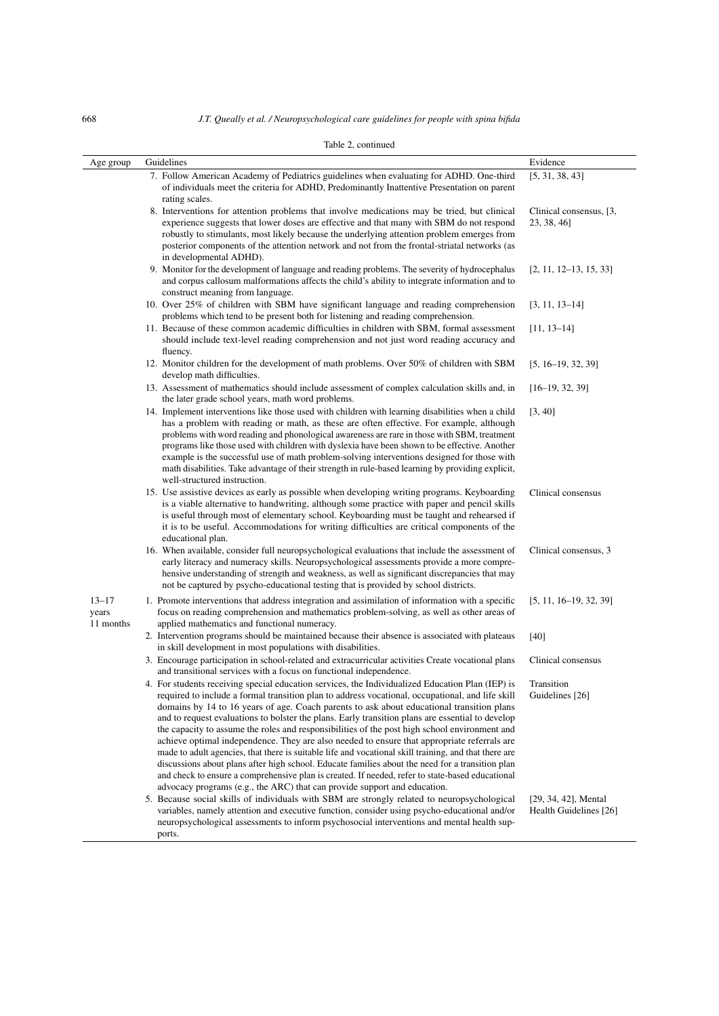| Table 2, continued              |                                                                                                                                                                                                                                                                                                                                                                                                                                                                                                                                                                                                                                                                                                                                                                                                                                                                                                                                                                                                                |                                                   |
|---------------------------------|----------------------------------------------------------------------------------------------------------------------------------------------------------------------------------------------------------------------------------------------------------------------------------------------------------------------------------------------------------------------------------------------------------------------------------------------------------------------------------------------------------------------------------------------------------------------------------------------------------------------------------------------------------------------------------------------------------------------------------------------------------------------------------------------------------------------------------------------------------------------------------------------------------------------------------------------------------------------------------------------------------------|---------------------------------------------------|
| Age group                       | Guidelines                                                                                                                                                                                                                                                                                                                                                                                                                                                                                                                                                                                                                                                                                                                                                                                                                                                                                                                                                                                                     | Evidence                                          |
|                                 | 7. Follow American Academy of Pediatrics guidelines when evaluating for ADHD. One-third<br>of individuals meet the criteria for ADHD, Predominantly Inattentive Presentation on parent<br>rating scales.                                                                                                                                                                                                                                                                                                                                                                                                                                                                                                                                                                                                                                                                                                                                                                                                       | [5, 31, 38, 43]                                   |
|                                 | 8. Interventions for attention problems that involve medications may be tried, but clinical<br>experience suggests that lower doses are effective and that many with SBM do not respond<br>robustly to stimulants, most likely because the underlying attention problem emerges from<br>posterior components of the attention network and not from the frontal-striatal networks (as<br>in developmental ADHD).                                                                                                                                                                                                                                                                                                                                                                                                                                                                                                                                                                                                | Clinical consensus, [3,<br>23, 38, 46]            |
|                                 | 9. Monitor for the development of language and reading problems. The severity of hydrocephalus<br>and corpus callosum malformations affects the child's ability to integrate information and to<br>construct meaning from language.                                                                                                                                                                                                                                                                                                                                                                                                                                                                                                                                                                                                                                                                                                                                                                            | $[2, 11, 12-13, 15, 33]$                          |
|                                 | 10. Over 25% of children with SBM have significant language and reading comprehension<br>problems which tend to be present both for listening and reading comprehension.                                                                                                                                                                                                                                                                                                                                                                                                                                                                                                                                                                                                                                                                                                                                                                                                                                       | $[3, 11, 13-14]$                                  |
|                                 | 11. Because of these common academic difficulties in children with SBM, formal assessment<br>should include text-level reading comprehension and not just word reading accuracy and<br>fluency.                                                                                                                                                                                                                                                                                                                                                                                                                                                                                                                                                                                                                                                                                                                                                                                                                | $[11, 13-14]$                                     |
|                                 | 12. Monitor children for the development of math problems. Over 50% of children with SBM<br>develop math difficulties.                                                                                                                                                                                                                                                                                                                                                                                                                                                                                                                                                                                                                                                                                                                                                                                                                                                                                         | $[5, 16-19, 32, 39]$                              |
|                                 | 13. Assessment of mathematics should include assessment of complex calculation skills and, in<br>the later grade school years, math word problems.                                                                                                                                                                                                                                                                                                                                                                                                                                                                                                                                                                                                                                                                                                                                                                                                                                                             | $[16-19, 32, 39]$                                 |
|                                 | 14. Implement interventions like those used with children with learning disabilities when a child<br>has a problem with reading or math, as these are often effective. For example, although<br>problems with word reading and phonological awareness are rare in those with SBM, treatment<br>programs like those used with children with dyslexia have been shown to be effective. Another<br>example is the successful use of math problem-solving interventions designed for those with<br>math disabilities. Take advantage of their strength in rule-based learning by providing explicit,<br>well-structured instruction.                                                                                                                                                                                                                                                                                                                                                                               | [3, 40]                                           |
|                                 | 15. Use assistive devices as early as possible when developing writing programs. Keyboarding<br>is a viable alternative to handwriting, although some practice with paper and pencil skills<br>is useful through most of elementary school. Keyboarding must be taught and rehearsed if<br>it is to be useful. Accommodations for writing difficulties are critical components of the<br>educational plan.                                                                                                                                                                                                                                                                                                                                                                                                                                                                                                                                                                                                     | Clinical consensus                                |
|                                 | 16. When available, consider full neuropsychological evaluations that include the assessment of<br>early literacy and numeracy skills. Neuropsychological assessments provide a more compre-<br>hensive understanding of strength and weakness, as well as significant discrepancies that may<br>not be captured by psycho-educational testing that is provided by school districts.                                                                                                                                                                                                                                                                                                                                                                                                                                                                                                                                                                                                                           | Clinical consensus, 3                             |
| $13 - 17$<br>years<br>11 months | 1. Promote interventions that address integration and assimilation of information with a specific<br>focus on reading comprehension and mathematics problem-solving, as well as other areas of<br>applied mathematics and functional numeracy.                                                                                                                                                                                                                                                                                                                                                                                                                                                                                                                                                                                                                                                                                                                                                                 | $[5, 11, 16-19, 32, 39]$                          |
|                                 | 2. Intervention programs should be maintained because their absence is associated with plateaus<br>in skill development in most populations with disabilities.                                                                                                                                                                                                                                                                                                                                                                                                                                                                                                                                                                                                                                                                                                                                                                                                                                                 | $[40]$                                            |
|                                 | 3. Encourage participation in school-related and extracurricular activities Create vocational plans<br>and transitional services with a focus on functional independence.                                                                                                                                                                                                                                                                                                                                                                                                                                                                                                                                                                                                                                                                                                                                                                                                                                      | Clinical consensus                                |
|                                 | 4. For students receiving special education services, the Individualized Education Plan (IEP) is Transition<br>required to include a formal transition plan to address vocational, occupational, and life skill<br>domains by 14 to 16 years of age. Coach parents to ask about educational transition plans<br>and to request evaluations to bolster the plans. Early transition plans are essential to develop<br>the capacity to assume the roles and responsibilities of the post high school environment and<br>achieve optimal independence. They are also needed to ensure that appropriate referrals are<br>made to adult agencies, that there is suitable life and vocational skill training, and that there are<br>discussions about plans after high school. Educate families about the need for a transition plan<br>and check to ensure a comprehensive plan is created. If needed, refer to state-based educational<br>advocacy programs (e.g., the ARC) that can provide support and education. | Guidelines [26]                                   |
|                                 | 5. Because social skills of individuals with SBM are strongly related to neuropsychological<br>variables, namely attention and executive function, consider using psycho-educational and/or<br>neuropsychological assessments to inform psychosocial interventions and mental health sup-<br>ports.                                                                                                                                                                                                                                                                                                                                                                                                                                                                                                                                                                                                                                                                                                            | $[29, 34, 42]$ , Mental<br>Health Guidelines [26] |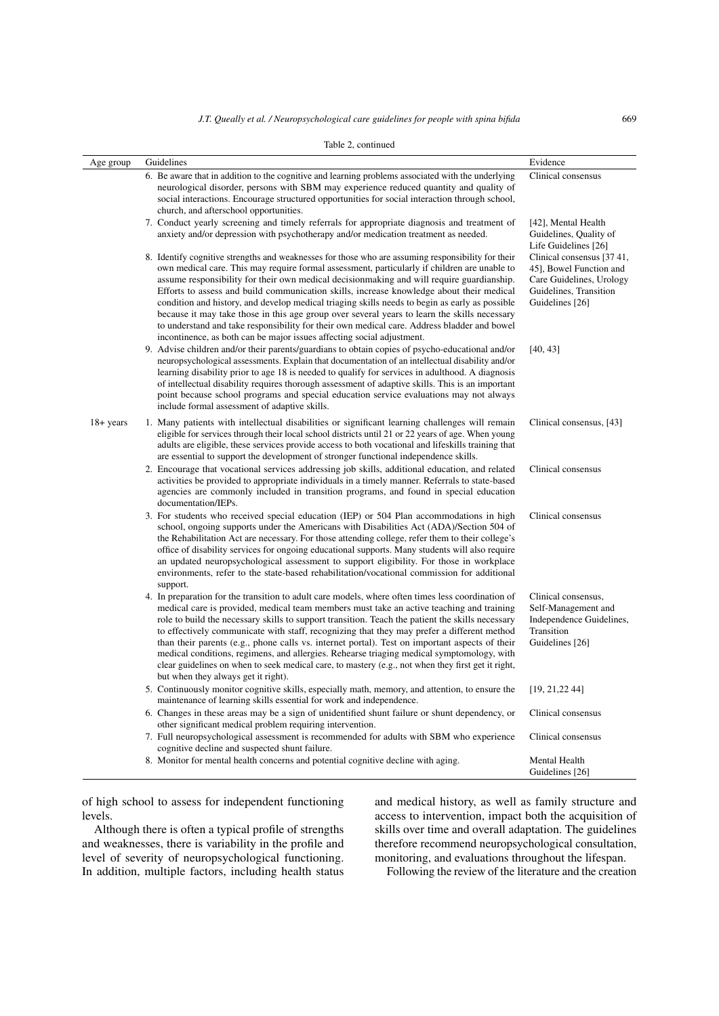|              | Table 2, continued                                                                                                                                                                                                                                                                                                                                                                                                                                                                                                                                                                                                                                                                                                                                                      |                                                                                                                                |
|--------------|-------------------------------------------------------------------------------------------------------------------------------------------------------------------------------------------------------------------------------------------------------------------------------------------------------------------------------------------------------------------------------------------------------------------------------------------------------------------------------------------------------------------------------------------------------------------------------------------------------------------------------------------------------------------------------------------------------------------------------------------------------------------------|--------------------------------------------------------------------------------------------------------------------------------|
| Age group    | Guidelines                                                                                                                                                                                                                                                                                                                                                                                                                                                                                                                                                                                                                                                                                                                                                              | Evidence                                                                                                                       |
|              | 6. Be aware that in addition to the cognitive and learning problems associated with the underlying<br>neurological disorder, persons with SBM may experience reduced quantity and quality of<br>social interactions. Encourage structured opportunities for social interaction through school,<br>church, and afterschool opportunities.                                                                                                                                                                                                                                                                                                                                                                                                                                | Clinical consensus                                                                                                             |
|              | 7. Conduct yearly screening and timely referrals for appropriate diagnosis and treatment of<br>anxiety and/or depression with psychotherapy and/or medication treatment as needed.                                                                                                                                                                                                                                                                                                                                                                                                                                                                                                                                                                                      | [42], Mental Health<br>Guidelines, Quality of<br>Life Guidelines [26]                                                          |
|              | 8. Identify cognitive strengths and weaknesses for those who are assuming responsibility for their<br>own medical care. This may require formal assessment, particularly if children are unable to<br>assume responsibility for their own medical decision making and will require guardianship.<br>Efforts to assess and build communication skills, increase knowledge about their medical<br>condition and history, and develop medical triaging skills needs to begin as early as possible<br>because it may take those in this age group over several years to learn the skills necessary<br>to understand and take responsibility for their own medical care. Address bladder and bowel<br>incontinence, as both can be major issues affecting social adjustment. | Clinical consensus [37 41,<br>45], Bowel Function and<br>Care Guidelines, Urology<br>Guidelines, Transition<br>Guidelines [26] |
|              | 9. Advise children and/or their parents/guardians to obtain copies of psycho-educational and/or<br>neuropsychological assessments. Explain that documentation of an intellectual disability and/or<br>learning disability prior to age 18 is needed to qualify for services in adulthood. A diagnosis<br>of intellectual disability requires thorough assessment of adaptive skills. This is an important<br>point because school programs and special education service evaluations may not always<br>include formal assessment of adaptive skills.                                                                                                                                                                                                                    | [40, 43]                                                                                                                       |
| $18 + years$ | 1. Many patients with intellectual disabilities or significant learning challenges will remain<br>eligible for services through their local school districts until 21 or 22 years of age. When young<br>adults are eligible, these services provide access to both vocational and lifeskills training that<br>are essential to support the development of stronger functional independence skills.                                                                                                                                                                                                                                                                                                                                                                      | Clinical consensus, [43]                                                                                                       |
|              | 2. Encourage that vocational services addressing job skills, additional education, and related<br>activities be provided to appropriate individuals in a timely manner. Referrals to state-based<br>agencies are commonly included in transition programs, and found in special education<br>documentation/IEPs.                                                                                                                                                                                                                                                                                                                                                                                                                                                        | Clinical consensus                                                                                                             |
|              | 3. For students who received special education (IEP) or 504 Plan accommodations in high<br>school, ongoing supports under the Americans with Disabilities Act (ADA)/Section 504 of<br>the Rehabilitation Act are necessary. For those attending college, refer them to their college's<br>office of disability services for ongoing educational supports. Many students will also require<br>an updated neuropsychological assessment to support eligibility. For those in workplace<br>environments, refer to the state-based rehabilitation/vocational commission for additional<br>support.                                                                                                                                                                          | Clinical consensus                                                                                                             |
|              | 4. In preparation for the transition to adult care models, where often times less coordination of<br>medical care is provided, medical team members must take an active teaching and training<br>role to build the necessary skills to support transition. Teach the patient the skills necessary<br>to effectively communicate with staff, recognizing that they may prefer a different method<br>than their parents (e.g., phone calls vs. internet portal). Test on important aspects of their<br>medical conditions, regimens, and allergies. Rehearse triaging medical symptomology, with<br>clear guidelines on when to seek medical care, to mastery $(e.g., not when they first get it right,$<br>but when they always get it right).                           | Clinical consensus,<br>Self-Management and<br>Independence Guidelines,<br>Transition<br>Guidelines [26]                        |
|              | 5. Continuously monitor cognitive skills, especially math, memory, and attention, to ensure the<br>maintenance of learning skills essential for work and independence.                                                                                                                                                                                                                                                                                                                                                                                                                                                                                                                                                                                                  | [19, 21, 22, 44]                                                                                                               |
|              | 6. Changes in these areas may be a sign of unidentified shunt failure or shunt dependency, or<br>other significant medical problem requiring intervention.                                                                                                                                                                                                                                                                                                                                                                                                                                                                                                                                                                                                              | Clinical consensus                                                                                                             |
|              | 7. Full neuropsychological assessment is recommended for adults with SBM who experience<br>cognitive decline and suspected shunt failure.                                                                                                                                                                                                                                                                                                                                                                                                                                                                                                                                                                                                                               | Clinical consensus                                                                                                             |
|              | 8. Monitor for mental health concerns and potential cognitive decline with aging.                                                                                                                                                                                                                                                                                                                                                                                                                                                                                                                                                                                                                                                                                       | Mental Health<br>Guidelines [26]                                                                                               |

of high school to assess for independent functioning levels.

Although there is often a typical profile of strengths and weaknesses, there is variability in the profile and level of severity of neuropsychological functioning. In addition, multiple factors, including health status

and medical history, as well as family structure and access to intervention, impact both the acquisition of skills over time and overall adaptation. The guidelines therefore recommend neuropsychological consultation, monitoring, and evaluations throughout the lifespan.

Following the review of the literature and the creation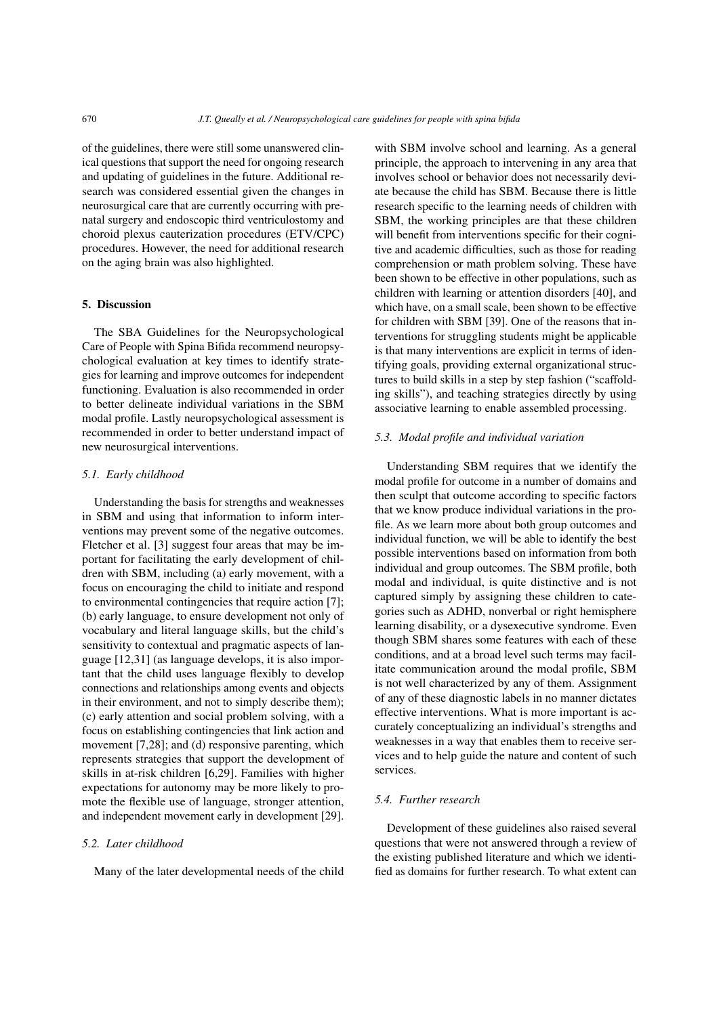of the guidelines, there were still some unanswered clinical questions that support the need for ongoing research and updating of guidelines in the future. Additional research was considered essential given the changes in neurosurgical care that are currently occurring with prenatal surgery and endoscopic third ventriculostomy and choroid plexus cauterization procedures (ETV/CPC) procedures. However, the need for additional research on the aging brain was also highlighted.

#### 5. Discussion

The SBA Guidelines for the Neuropsychological Care of People with Spina Bifida recommend neuropsychological evaluation at key times to identify strategies for learning and improve outcomes for independent functioning. Evaluation is also recommended in order to better delineate individual variations in the SBM modal profile. Lastly neuropsychological assessment is recommended in order to better understand impact of new neurosurgical interventions.

#### *5.1. Early childhood*

Understanding the basis for strengths and weaknesses in SBM and using that information to inform interventions may prevent some of the negative outcomes. Fletcher et al. [\[3\]](#page-9-1) suggest four areas that may be important for facilitating the early development of children with SBM, including (a) early movement, with a focus on encouraging the child to initiate and respond to environmental contingencies that require action [\[7\]](#page-9-14); (b) early language, to ensure development not only of vocabulary and literal language skills, but the child's sensitivity to contextual and pragmatic aspects of language [\[12](#page-9-8)[,31\]](#page-10-7) (as language develops, it is also important that the child uses language flexibly to develop connections and relationships among events and objects in their environment, and not to simply describe them); (c) early attention and social problem solving, with a focus on establishing contingencies that link action and movement [\[7,](#page-9-14)[28\]](#page-10-8); and (d) responsive parenting, which represents strategies that support the development of skills in at-risk children [\[6](#page-9-5)[,29\]](#page-10-9). Families with higher expectations for autonomy may be more likely to promote the flexible use of language, stronger attention, and independent movement early in development [\[29\]](#page-10-9).

#### *5.2. Later childhood*

Many of the later developmental needs of the child

with SBM involve school and learning. As a general principle, the approach to intervening in any area that involves school or behavior does not necessarily deviate because the child has SBM. Because there is little research specific to the learning needs of children with SBM, the working principles are that these children will benefit from interventions specific for their cognitive and academic difficulties, such as those for reading comprehension or math problem solving. These have been shown to be effective in other populations, such as children with learning or attention disorders [\[40\]](#page-10-10), and which have, on a small scale, been shown to be effective for children with SBM [\[39\]](#page-10-11). One of the reasons that interventions for struggling students might be applicable is that many interventions are explicit in terms of identifying goals, providing external organizational structures to build skills in a step by step fashion ("scaffolding skills"), and teaching strategies directly by using associative learning to enable assembled processing.

#### *5.3. Modal profile and individual variation*

Understanding SBM requires that we identify the modal profile for outcome in a number of domains and then sculpt that outcome according to specific factors that we know produce individual variations in the profile. As we learn more about both group outcomes and individual function, we will be able to identify the best possible interventions based on information from both individual and group outcomes. The SBM profile, both modal and individual, is quite distinctive and is not captured simply by assigning these children to categories such as ADHD, nonverbal or right hemisphere learning disability, or a dysexecutive syndrome. Even though SBM shares some features with each of these conditions, and at a broad level such terms may facilitate communication around the modal profile, SBM is not well characterized by any of them. Assignment of any of these diagnostic labels in no manner dictates effective interventions. What is more important is accurately conceptualizing an individual's strengths and weaknesses in a way that enables them to receive services and to help guide the nature and content of such services.

#### *5.4. Further research*

Development of these guidelines also raised several questions that were not answered through a review of the existing published literature and which we identified as domains for further research. To what extent can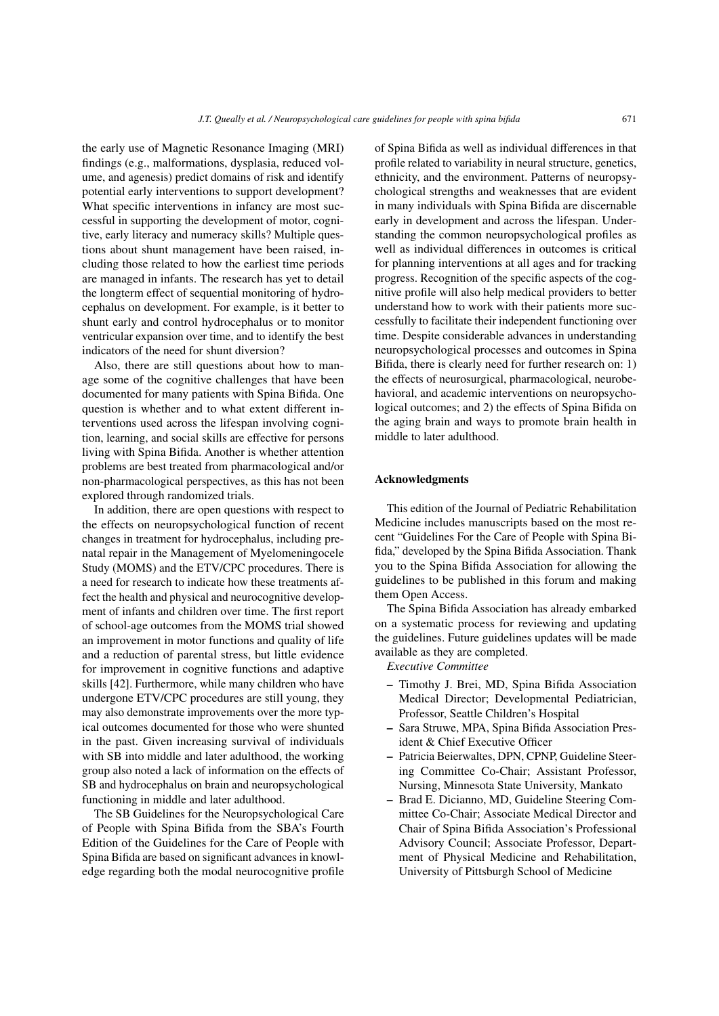the early use of Magnetic Resonance Imaging (MRI) findings (e.g., malformations, dysplasia, reduced volume, and agenesis) predict domains of risk and identify potential early interventions to support development? What specific interventions in infancy are most successful in supporting the development of motor, cognitive, early literacy and numeracy skills? Multiple questions about shunt management have been raised, including those related to how the earliest time periods are managed in infants. The research has yet to detail the longterm effect of sequential monitoring of hydrocephalus on development. For example, is it better to shunt early and control hydrocephalus or to monitor ventricular expansion over time, and to identify the best indicators of the need for shunt diversion?

Also, there are still questions about how to manage some of the cognitive challenges that have been documented for many patients with Spina Bifida. One question is whether and to what extent different interventions used across the lifespan involving cognition, learning, and social skills are effective for persons living with Spina Bifida. Another is whether attention problems are best treated from pharmacological and/or non-pharmacological perspectives, as this has not been explored through randomized trials.

In addition, there are open questions with respect to the effects on neuropsychological function of recent changes in treatment for hydrocephalus, including prenatal repair in the Management of Myelomeningocele Study (MOMS) and the ETV/CPC procedures. There is a need for research to indicate how these treatments affect the health and physical and neurocognitive development of infants and children over time. The first report of school-age outcomes from the MOMS trial showed an improvement in motor functions and quality of life and a reduction of parental stress, but little evidence for improvement in cognitive functions and adaptive skills [\[42\]](#page-10-12). Furthermore, while many children who have undergone ETV/CPC procedures are still young, they may also demonstrate improvements over the more typical outcomes documented for those who were shunted in the past. Given increasing survival of individuals with SB into middle and later adulthood, the working group also noted a lack of information on the effects of SB and hydrocephalus on brain and neuropsychological functioning in middle and later adulthood.

The SB Guidelines for the Neuropsychological Care of People with Spina Bifida from the SBA's Fourth Edition of the Guidelines for the Care of People with Spina Bifida are based on significant advances in knowledge regarding both the modal neurocognitive profile of Spina Bifida as well as individual differences in that profile related to variability in neural structure, genetics, ethnicity, and the environment. Patterns of neuropsychological strengths and weaknesses that are evident in many individuals with Spina Bifida are discernable early in development and across the lifespan. Understanding the common neuropsychological profiles as well as individual differences in outcomes is critical for planning interventions at all ages and for tracking progress. Recognition of the specific aspects of the cognitive profile will also help medical providers to better understand how to work with their patients more successfully to facilitate their independent functioning over time. Despite considerable advances in understanding neuropsychological processes and outcomes in Spina Bifida, there is clearly need for further research on: 1) the effects of neurosurgical, pharmacological, neurobehavioral, and academic interventions on neuropsychological outcomes; and 2) the effects of Spina Bifida on the aging brain and ways to promote brain health in middle to later adulthood.

#### Acknowledgments

This edition of the Journal of Pediatric Rehabilitation Medicine includes manuscripts based on the most recent "Guidelines For the Care of People with Spina Bifida," developed by the Spina Bifida Association. Thank you to the Spina Bifida Association for allowing the guidelines to be published in this forum and making them Open Access.

The Spina Bifida Association has already embarked on a systematic process for reviewing and updating the guidelines. Future guidelines updates will be made available as they are completed.

*Executive Committee*

- Timothy J. Brei, MD, Spina Bifida Association Medical Director; Developmental Pediatrician, Professor, Seattle Children's Hospital
- Sara Struwe, MPA, Spina Bifida Association President & Chief Executive Officer
- Patricia Beierwaltes, DPN, CPNP, Guideline Steering Committee Co-Chair; Assistant Professor, Nursing, Minnesota State University, Mankato
- Brad E. Dicianno, MD, Guideline Steering Committee Co-Chair; Associate Medical Director and Chair of Spina Bifida Association's Professional Advisory Council; Associate Professor, Department of Physical Medicine and Rehabilitation, University of Pittsburgh School of Medicine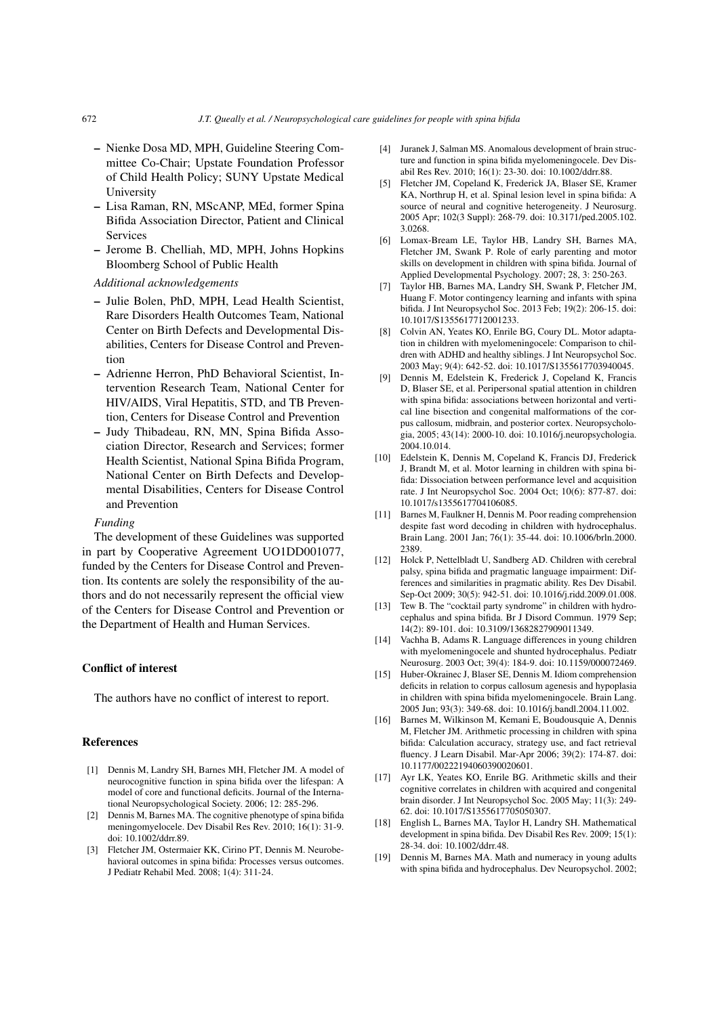- Nienke Dosa MD, MPH, Guideline Steering Committee Co-Chair; Upstate Foundation Professor of Child Health Policy; SUNY Upstate Medical University
- Lisa Raman, RN, MScANP, MEd, former Spina Bifida Association Director, Patient and Clinical Services
- Jerome B. Chelliah, MD, MPH, Johns Hopkins Bloomberg School of Public Health

*Additional acknowledgements*

- Julie Bolen, PhD, MPH, Lead Health Scientist, Rare Disorders Health Outcomes Team, National Center on Birth Defects and Developmental Disabilities, Centers for Disease Control and Prevention
- Adrienne Herron, PhD Behavioral Scientist, Intervention Research Team, National Center for HIV/AIDS, Viral Hepatitis, STD, and TB Prevention, Centers for Disease Control and Prevention
- Judy Thibadeau, RN, MN, Spina Bifida Association Director, Research and Services; former Health Scientist, National Spina Bifida Program, National Center on Birth Defects and Developmental Disabilities, Centers for Disease Control and Prevention

#### *Funding*

The development of these Guidelines was supported in part by Cooperative Agreement UO1DD001077, funded by the Centers for Disease Control and Prevention. Its contents are solely the responsibility of the authors and do not necessarily represent the official view of the Centers for Disease Control and Prevention or the Department of Health and Human Services.

#### Conflict of interest

The authors have no conflict of interest to report.

#### References

- <span id="page-9-0"></span>[1] Dennis M, Landry SH, Barnes MH, Fletcher JM. A model of neurocognitive function in spina bifida over the lifespan: A model of core and functional deficits. Journal of the International Neuropsychological Society. 2006; 12: 285-296.
- <span id="page-9-4"></span>[2] Dennis M, Barnes MA. The cognitive phenotype of spina bifida meningomyelocele. Dev Disabil Res Rev. 2010; 16(1): 31-9. doi: 10.1002/ddrr.89.
- <span id="page-9-1"></span>[3] Fletcher JM, Ostermaier KK, Cirino PT, Dennis M. Neurobehavioral outcomes in spina bifida: Processes versus outcomes. J Pediatr Rehabil Med. 2008; 1(4): 311-24.
- <span id="page-9-2"></span>[4] Juranek J, Salman MS. Anomalous development of brain structure and function in spina bifida myelomeningocele. Dev Disabil Res Rev. 2010; 16(1): 23-30. doi: 10.1002/ddrr.88.
- <span id="page-9-3"></span>[5] Fletcher JM, Copeland K, Frederick JA, Blaser SE, Kramer KA, Northrup H, et al. Spinal lesion level in spina bifida: A source of neural and cognitive heterogeneity. J Neurosurg. 2005 Apr; 102(3 Suppl): 268-79. doi: 10.3171/ped.2005.102. 3.0268.
- <span id="page-9-5"></span>[6] Lomax-Bream LE, Taylor HB, Landry SH, Barnes MA, Fletcher JM, Swank P. Role of early parenting and motor skills on development in children with spina bifida. Journal of Applied Developmental Psychology. 2007; 28, 3: 250-263.
- <span id="page-9-14"></span>[7] Taylor HB, Barnes MA, Landry SH, Swank P, Fletcher JM, Huang F. Motor contingency learning and infants with spina bifida. J Int Neuropsychol Soc. 2013 Feb; 19(2): 206-15. doi: 10.1017/S1355617712001233.
- Colvin AN, Yeates KO, Enrile BG, Coury DL. Motor adaptation in children with myelomeningocele: Comparison to children with ADHD and healthy siblings. J Int Neuropsychol Soc. 2003 May; 9(4): 642-52. doi: 10.1017/S1355617703940045.
- [9] Dennis M, Edelstein K, Frederick J, Copeland K, Francis D, Blaser SE, et al. Peripersonal spatial attention in children with spina bifida: associations between horizontal and vertical line bisection and congenital malformations of the corpus callosum, midbrain, and posterior cortex. Neuropsychologia, 2005; 43(14): 2000-10. doi: 10.1016/j.neuropsychologia. 2004.10.014.
- <span id="page-9-6"></span>[10] Edelstein K, Dennis M, Copeland K, Francis DJ, Frederick J, Brandt M, et al. Motor learning in children with spina bifida: Dissociation between performance level and acquisition rate. J Int Neuropsychol Soc. 2004 Oct; 10(6): 877-87. doi: 10.1017/s1355617704106085.
- <span id="page-9-7"></span>[11] Barnes M, Faulkner H, Dennis M. Poor reading comprehension despite fast word decoding in children with hydrocephalus. Brain Lang. 2001 Jan; 76(1): 35-44. doi: 10.1006/brln.2000. 2389.
- <span id="page-9-8"></span>[12] Holck P, Nettelbladt U, Sandberg AD. Children with cerebral palsy, spina bifida and pragmatic language impairment: Differences and similarities in pragmatic ability. Res Dev Disabil. Sep-Oct 2009; 30(5): 942-51. doi: 10.1016/j.ridd.2009.01.008.
- [13] Tew B. The "cocktail party syndrome" in children with hydrocephalus and spina bifida. Br J Disord Commun. 1979 Sep; 14(2): 89-101. doi: 10.3109/13682827909011349.
- <span id="page-9-9"></span>[14] Vachha B, Adams R. Language differences in young children with myelomeningocele and shunted hydrocephalus. Pediatr Neurosurg. 2003 Oct; 39(4): 184-9. doi: 10.1159/000072469.
- <span id="page-9-10"></span>[15] Huber-Okrainec J, Blaser SE, Dennis M. Idiom comprehension deficits in relation to corpus callosum agenesis and hypoplasia in children with spina bifida myelomeningocele. Brain Lang. 2005 Jun; 93(3): 349-68. doi: 10.1016/j.bandl.2004.11.002.
- <span id="page-9-11"></span>[16] Barnes M, Wilkinson M, Kemani E, Boudousquie A, Dennis M, Fletcher JM. Arithmetic processing in children with spina bifida: Calculation accuracy, strategy use, and fact retrieval fluency. J Learn Disabil. Mar-Apr 2006; 39(2): 174-87. doi: 10.1177/00222194060390020601.
- [17] Ayr LK, Yeates KO, Enrile BG. Arithmetic skills and their cognitive correlates in children with acquired and congenital brain disorder. J Int Neuropsychol Soc. 2005 May; 11(3): 249- 62. doi: 10.1017/S1355617705050307.
- <span id="page-9-12"></span>[18] English L, Barnes MA, Taylor H, Landry SH. Mathematical development in spina bifida. Dev Disabil Res Rev. 2009; 15(1): 28-34. doi: 10.1002/ddrr.48.
- <span id="page-9-13"></span>[19] Dennis M, Barnes MA. Math and numeracy in young adults with spina bifida and hydrocephalus. Dev Neuropsychol. 2002;